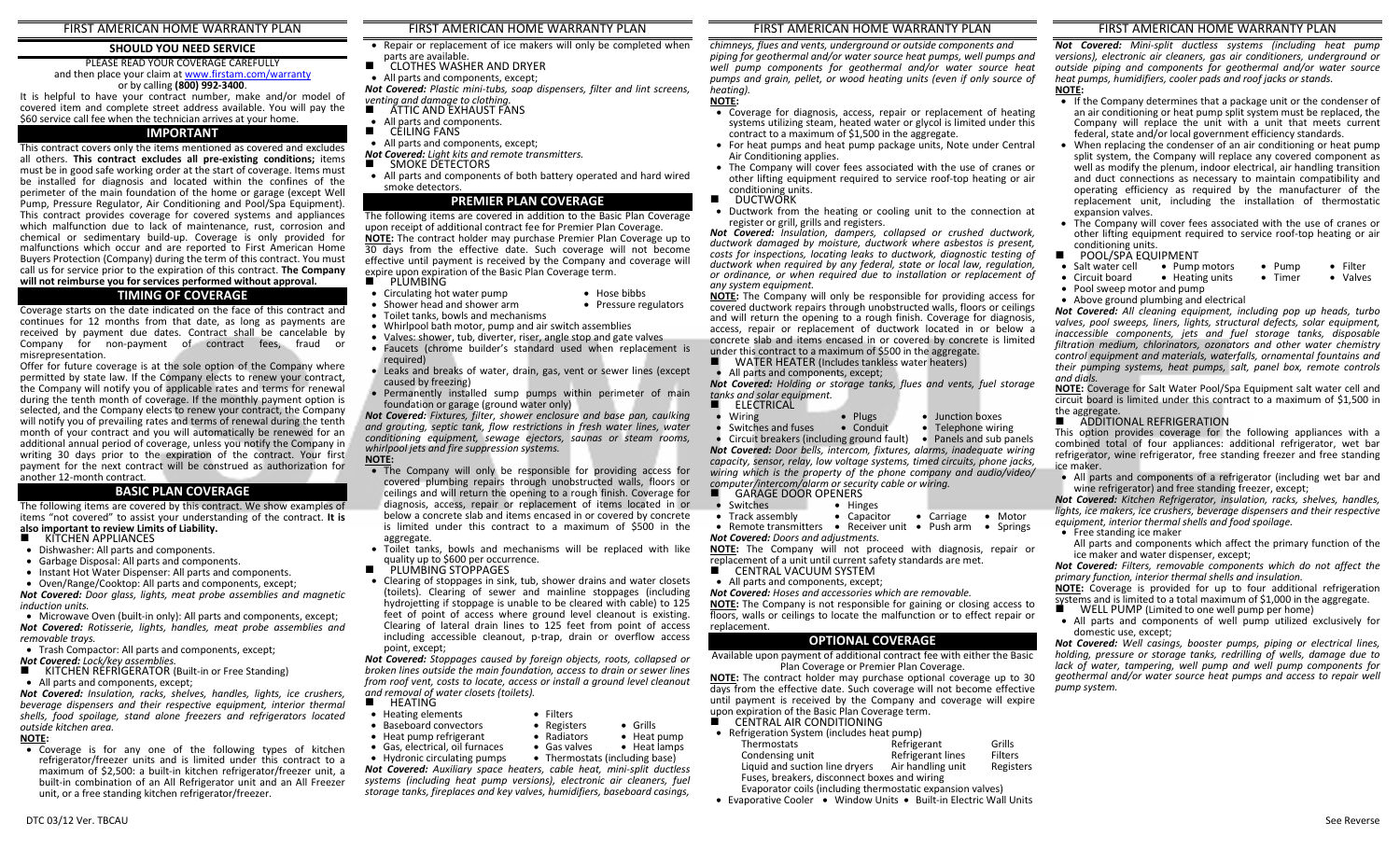### FIRST AMERICAN HOME WARRANTY PLAN

# **SHOULD YOU NEED SERVICE**

#### PLEASE READ YOUR COVERAGE CAREFULLY and then place your claim at www.firstam.com/warranty or by calling **(800) 992-3400**.

 It is helpful to have your contract number, make and/or model of covered item and complete street address available. You will pay the \$60 service call fee when the technician arrives at your home.

### **IMPORTANT**

This contract covers only the items mentioned as covered and excludes all others. **This contract excludes all pre-existing conditions;** items must be in good safe working order at the start of coverage. Items must be installed for diagnosis and located within the confines of the perimeter of the main foundation of the home or garage (except Well Pump, Pressure Regulator, Air Conditioning and Pool/Spa Equipment). This contract provides coverage for covered systems and appliances which malfunction due to lack of maintenance, rust, corrosion and chemical or sedimentary build-up. Coverage is only provided for malfunctions which occur and are reported to First American Home Buyers Protection (Company) during the term of this contract. You must call us for service prior to the expiration of this contract. **The Company will not reimburse you for services performed without approval.** 

# **TIMING OF COVERAGE**

 Coverage starts on the date indicated on the face of this contract and continues for 12 months from that date, as long as payments are received by payment due dates. Contract shall be cancelable by Company for non-payment of contract fees, fraud or misrepresentation.

 Offer for future coverage is at the sole option of the Company where permitted by state law. If the Company elects to renew your contract, the Company will notify you of applicable rates and terms for renewal during the tenth month of coverage. If the monthly payment option is selected, and the Company elects to renew your contract, the Company will notify you of prevailing rates and terms of renewal during the tenth month of your contract and you will automatically be renewed for an additional annual period of coverage, unless you notify the Company in writing 30 days prior to the expiration of the contract. Your first payment for the next contract will be construed as authorization for another 12-month contract.

#### **BASIC PLAN COVERAGE**

The following items are covered by this contract. We show examples of items "not covered" to assist your understanding of the contract. **It is also important to review Limits of Liability.** 

- 
- KITCHEN APPLIANCES<br>Elishwasher: All parts and • Dishwasher: All parts and components.
- Garbage Disposal: All parts and components.
- Instant Hot Water Dispenser: All parts and components.
- Oven/Range/Cooktop: All parts and components, except; *Not Covered: Door glass, lights, meat probe assemblies and magnetic*

*induction units.* 

 • Microwave Oven (built-in only): All parts and components, except; *Not Covered: Rotisserie, lights, handles, meat probe assemblies and removable trays.* 

- Trash Compactor: All parts and components, except;
- *Not Covered: Lock/key assemblies.*
- KITCHEN REFRIGERATOR (Built-in or Free Standing)<br>• All narts and components excent: • All parts and components, except;

*Not Covered: Insulation, racks, shelves, handles, lights, ice crushers, beverage dispensers and their respective equipment, interior thermal shells, food spoilage, stand alone freezers and refrigerators located outside kitchen area.* 

- **NOTE:**
- Coverage is for any one of the following types of kitchen refrigerator/freezer units and is limited under this contract to a maximum of \$2,500: a built-in kitchen refrigerator/freezer unit, a built-in combination of an All Refrigerator unit and an All Freezer unit, or a free standing kitchen refrigerator/freezer.

# FIRST AMERICAN HOME WARRANTY PLAN

- Repair or replacement of ice makers will only be completed when parts are available.
- CLOTHES WASHER AND DRYER<br>● All parts and components, except: ■
- All parts and components, except;

*Not Covered: Plastic mini-tubs, soap dispensers, filter and lint screens, venting and damage to clothing.* 

- ATTIC AND EXHAUST FANS . . ■ ATTIC AND EXHAUST FANS<br>● All parts and components.
- 
- CEILING FANS<br>● All parts and com
- All parts and components, except;
- *Not Covered: Light kits and remote transmitters.*
- ■
- SMOKE DETECTORS All parts and components of both battery operated and hard wired smoke detectors.

# **PREMIER PLAN COVERAGE**

 The following items are covered in addition to the Basic Plan Coverage upon receipt of additional contract fee for Premier Plan Coverage. **NOTE:** The contract holder may purchase Premier Plan Coverage up to 30 days from the effective date. Such coverage will not become effective until payment is received by the Company and coverage will expire upon expiration of the Basic Plan Coverage term.

- **PLUMBING**<br>Circulating ho • Hose bibbs
- Circulating hot water pump• Pressure regulators
- Shower head and shower arm
- Toilet tanks, bowls and mechanisms • Whirlpool bath motor, pump and air switch assemblies
- Valves: shower, tub, diverter, riser, angle stop and gate valves
- Faucets (chrome builder's standard used when replacement is required)
- Leaks and breaks of water, drain, gas, vent or sewer lines (except caused by freezing)
- Permanently installed sump pumps within perimeter of main •foundation or garage (ground water only)

 *Not Covered: Fixtures, filter, shower enclosure and base pan, caulking* and grouting, septic tank, flow restrictions in fresh water lines, water *conditioning equipment, sewage ejectors, saunas or steam rooms, whirlpool jets and fire suppression systems.* 

# **NOTE:**

- The Company will only be responsible for providing access for covered plumbing repairs through unobstructed walls, floors or ceilings and will return the opening to a rough finish. Coverage for diagnosis, access, repair or replacement of items located in or below a concrete slab and items encased in or covered by concrete is limited under this contract to a maximum of \$500 in the aggregate.
- Toilet tanks, bowls and mechanisms will be replaced with like quality up to \$600 per occurrence.<br>PLUMBING STOPPAGES
- ■
- PLUMBING STOPPAGES<br>• Clearing of stoppages in sink, tub, shower drains and water closets (toilets). Clearing of sewer and mainline stoppages (including hydrojetting if stoppage is unable to be cleared with cable) to 125 feet of point of access where ground level cleanout is existing. Clearing of lateral drain lines to 125 feet from point of access including accessible cleanout, p-trap, drain or overflow access point, except;

 *Not Covered: Stoppages caused by foreign objects, roots, collapsed or broken lines outside the main foundation, access to drain or sewer lines from roof vent, costs to locate, access or install a ground level cleanout and removal of water closets (toilets).* 

- 
- HEATING<br>• Heating elen • Heating elements • Filters
- Baseboard convectors Registers Grills
- Heat pump refrigerant Radiators Heat pump
- Gas, electrical, oil furnaces Gas valves Heat lamps • Hydronic circulating pumps
- Thermostats (including base) *Not Covered: Auxiliary space heaters, cable heat, mini-split ductless*

• Heat lamps

 *systems (including heat pump versions), electronic air cleaners, fuel storage tanks, fireplaces and key valves, humidifiers, baseboard casings,* 

# FIRST AMERICAN HOME WARRANTY PLAN

*chimneys, flues and vents, underground or outside components and piping for geothermal and/or water source heat pumps, well pumps and well pump components for geothermal and/or water source heat pumps and grain, pellet, or wood heating units (even if only source of heating).* 

# **NOTE:**

- Coverage for diagnosis, access, repair or replacement of heating systems utilizing steam, heated water or glycol is limited under this contract to a maximum of \$1,500 in the aggregate.
- For heat pumps and heat pump package units, Note under Central Air Conditioning applies.
- The Company will cover fees associated with the use of cranes or other lifting equipment required to service roof-top heating or air
- conditioning units.<br>DUCTWORK ■
- DUCTWORK Ductwork from the heating or cooling unit to the connection at register or grill, grills and registers.

 *Not Covered: Insulation, dampers, collapsed or crushed ductwork, ductwork damaged by moisture, ductwork where asbestos is present, costs for inspections, locating leaks to ductwork, diagnostic testing of ductwork when required by any federal, state or local law, regulation, or ordinance, or when required due to installation or replacement of any system equipment.* 

 **NOTE:** The Company will only be responsible for providing access for covered ductwork repairs through unobstructed walls, floors or ceilings and will return the opening to a rough finish. Coverage for diagnosis, access, repair or replacement of ductwork located in or below a concrete slab and items encased in or covered by concrete is limited under this contract to a maximum of \$500 in the aggregate.

■ WATER HEATER (Includes tankless water heaters)<br>● All parts and components except:

• All parts and components, except;

*Not Covered: Holding or storage tanks, flues and vents, fuel storage tanks and solar equipment.* 

ELECTRICAL

•

 Wiring• Plugs • Junction boxes<br>• Conduit • Telephone wiring

• Switches and fuses • Conduit • Telephone wiring • Circuit breakers (including ground fault) • Panels and sub panels •*Not Covered: Door bells, intercom, fixtures, alarms, inadequate wiring capacity, sensor, relay, low voltage systems, timed circuits, phone jacks, wiring which is the property of the phone company and audio/video/ computer/intercom/alarm or security cable or wiring.* .

- GARAGE DOOR OPENERS<br>Switches Hinges
- Switches Hinges • Track assembly Track assembly • Capacitor • Carriage• Remote transmitters • Receiver unit • Push arm• Carriage • Motor • Springs

*Not Covered: Doors and adjustments.*  **NOTE:** The Company will not proceed with diagnosis, repair or replacement of a unit until current safety standards are met.

- CENTRAL VACUUM SYSTEM<br>● All parts and components, except
- All parts and components, except;
- *Not Covered: Hoses and accessories which are removable.*

 **NOTE:** The Company is not responsible for gaining or closing access to floors, walls or ceilings to locate the malfunction or to effect repair or replacement.

# **OPTIONAL COVERAGE**

Available upon payment of additional contract fee with either the Basic Plan Coverage or Premier Plan Coverage.

 **NOTE:** The contract holder may purchase optional coverage up to 30 days from the effective date. Such coverage will not become effective until payment is received by the Company and coverage will expire upon expiration of the Basic Plan Coverage term.

**EXECUTE CONDITIONING**<br>• Refrigeration System (includes be:

• Refrigeration System (includes heat pump) **Thermostats** Refrigerant Grills Condensing unit Refrigerant linesFilters<br>Registers Liquid and suction line dryers Air handling unit Registers Fuses, breakers, disconnect boxes and wiringEvaporator coils (including thermostatic expansion valves)

• Evaporative Cooler • Window Units • Built-in Electric Wall Units

*Not Covered: Mini-split ductless systems (including heat pump versions), electronic air cleaners, gas air conditioners, underground or* 

# *outside piping and components for geothermal and/or water source heat pumps, humidifiers, cooler pads and roof jacks or stands.* **NOTE:**

FIRST AMERICAN HOME WARRANTY PLAN

- If the Company determines that a package unit or the condenser of an air conditioning or heat pump split system must be replaced, the Company will replace the unit with a unit that meets current federal, state and/or local government efficiency standards.
- When replacing the condenser of an air conditioning or heat pump split system, the Company will replace any covered component as well as modify the plenum, indoor electrical, air handling transition and duct connections as necessary to maintain compatibility and operating efficiency as required by the manufacturer of the replacement unit, including the installation of thermostatic expansion valves.
- The Company will cover fees associated with the use of cranes or other lifting equipment required to service roof-top heating or air

*Not Covered: All cleaning equipment, including pop up heads, turbo valves, pool sweeps, liners, lights, structural defects, solar equipment, inaccessible components, jets and fuel storage tanks, disposable filtration medium, chlorinators, ozonators and other water chemistry control equipment and materials, waterfalls, ornamental fountains and their pumping systems, heat pumps, salt, panel box, remote controls* 

 **NOTE:** Coverage for Salt Water Pool/Spa Equipment salt water cell and circuit board is limited under this contract to a maximum of \$1,500 in

This option provides coverage for the following appliances with a combined total of four appliances: additional refrigerator, wet bar refrigerator, wine refrigerator, free standing freezer and free standing

• All parts and components of a refrigerator (including wet bar and

 *Not Covered: Kitchen Refrigerator, insulation, racks, shelves, handles,* lights, ice makers, ice crushers, beverage dispensers and their respective

All parts and components which affect the primary function of the

*Not Covered: Filters, removable components which do not affect the* 

 **NOTE:** Coverage is provided for up to four additional refrigeration systems and is limited to a total maximum of \$1,000 in the aggregate.

• All parts and components of well pump utilized exclusively for

 *Not Covered: Well casings, booster pumps, piping or electrical lines, holding, pressure or storage tanks, redrilling of wells, damage due to* lack of water, tampering, well pump and well pump components for *geothermal and/or water source heat pumps and access to repair well* 

wine refrigerator) and free standing freezer, except;

*equipment, interior thermal shells and food spoilage.* 

*primary function, interior thermal shells and insulation.* 

 $\blacksquare$  WELL PUMP (Limited to one well pump per home)<br>• All parts and components of well pump utilized a

ice maker and water dispenser, except;

conditioning units.<br>■ POOL/SPA EQUIPMENT<br>● Salt water cell ● Pump

*and dials.* 

the aggregate.

ice maker.

- Salt water cell • Pump motors • Pump<br>• Heating units • Timer • Filter<br>• Valves
- Circuit board• Heating units
- Pool sweep motor and pump• Above ground plumbing and electrical

**ADDITIONAL REFRIGERATION**<br>This ontion provides coverage for t

• Free standing ice maker

domestic use, except;

*pump system.*